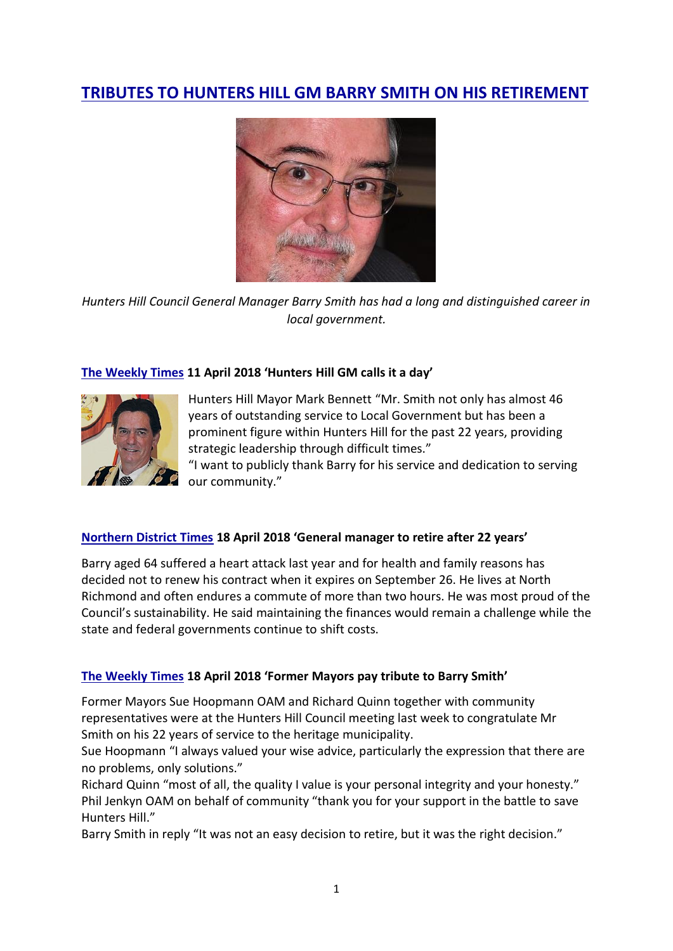# **[TRIBUTES TO HUNTERS HILL GM BARRY SMITH ON HIS RETIREMENT](https://savehuntershill.files.wordpress.com/2016/01/shhmc-tributes-to-hunters-hill-gm-barry-smith-on-his-retirement-18-april-18.pdf)**



*Hunters Hill Council General Manager Barry Smith has had a long and distinguished career in local government.*

# **[The Weekly Times](https://savehuntershill.files.wordpress.com/2016/01/shhmc-hunters-hill-gm-barry-smith-calls-it-a-day-twt-11-april-2018.pdf) 11 April 2018 'Hunters Hill GM calls it a day'**



Hunters Hill Mayor Mark Bennett "Mr. Smith not only has almost 46 years of outstanding service to Local Government but has been a prominent figure within Hunters Hill for the past 22 years, providing strategic leadership through difficult times."

"I want to publicly thank Barry for his service and dedication to serving our community."

#### **[Northern District Times](https://savehuntershill.files.wordpress.com/2016/01/shhmc-hunters-hill-general-manager-to-retire-ndt-18-april-2018.pdf) 18 April 2018 'General manager to retire after 22 years'**

Barry aged 64 suffered a heart attack last year and for health and family reasons has decided not to renew his contract when it expires on September 26. He lives at North Richmond and often endures a commute of more than two hours. He was most proud of the Council's sustainability. He said maintaining the finances would remain a challenge while the state and federal governments continue to shift costs.

# **[The Weekly Times](https://savehuntershill.files.wordpress.com/2016/01/shhmc-former-mayors-pay-tribute-to-retiring-gm-twt-18-april-20181.pdf) 18 April 2018 'Former Mayors pay tribute to Barry Smith'**

Former Mayors Sue Hoopmann OAM and Richard Quinn together with community representatives were at the Hunters Hill Council meeting last week to congratulate Mr Smith on his 22 years of service to the heritage municipality.

Sue Hoopmann "I always valued your wise advice, particularly the expression that there are no problems, only solutions."

Richard Quinn "most of all, the quality I value is your personal integrity and your honesty." Phil Jenkyn OAM on behalf of community "thank you for your support in the battle to save Hunters Hill."

Barry Smith in reply "It was not an easy decision to retire, but it was the right decision."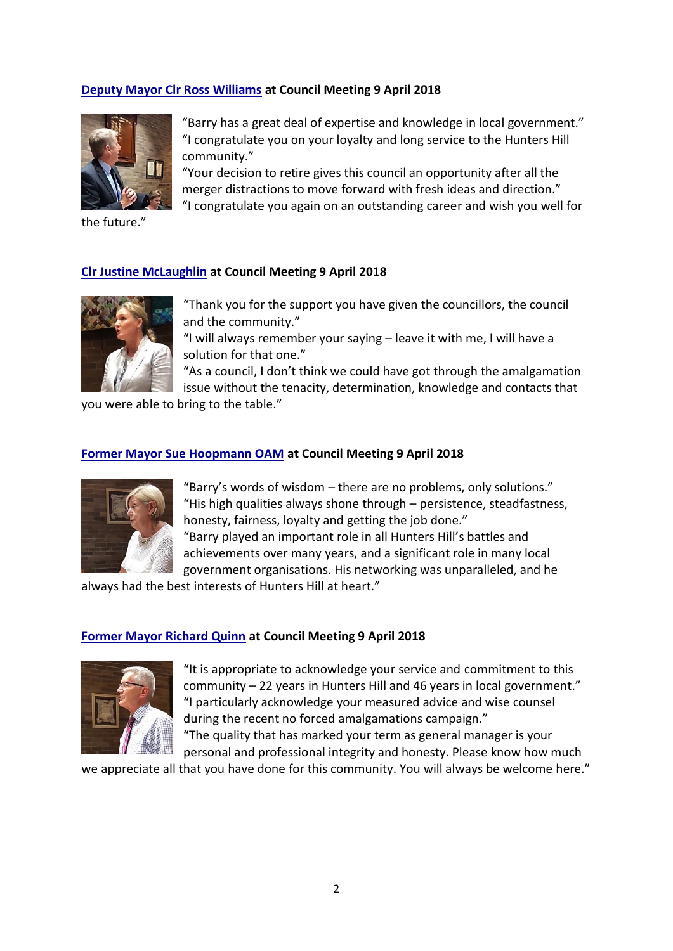# **[Deputy Mayor Clr Ross Williams](https://www.facebook.com/savehuntershill/videos/1009092739239335/) at Council Meeting 9 April 2018**



the future."

"Barry has a great deal of expertise and knowledge in local government." "I congratulate you on your loyalty and long service to the Hunters Hill community."

"Your decision to retire gives this council an opportunity after all the merger distractions to move forward with fresh ideas and direction." "I congratulate you again on an outstanding career and wish you well for

**[Clr Justine McLaughlin](https://www.facebook.com/savehuntershill/videos/1009092945905981/) at Council Meeting 9 April 2018**



"Thank you for the support you have given the councillors, the council and the community."

"I will always remember your saying – leave it with me, I will have a solution for that one."

"As a council, I don't think we could have got through the amalgamation issue without the tenacity, determination, knowledge and contacts that

you were able to bring to the table."

#### **[Former Mayor Sue Hoopmann OAM](https://www.facebook.com/savehuntershill/videos/1012515122230430/) at Council Meeting 9 April 2018**



"Barry's words of wisdom – there are no problems, only solutions." "His high qualities always shone through – persistence, steadfastness, honesty, fairness, loyalty and getting the job done." "Barry played an important role in all Hunters Hill's battles and achievements over many years, and a significant role in many local government organisations. His networking was unparalleled, and he

always had the best interests of Hunters Hill at heart."

#### **[Former Mayor Richard Quinn](https://www.facebook.com/savehuntershill/videos/1009406715874604/) at Council Meeting 9 April 2018**



"It is appropriate to acknowledge your service and commitment to this community – 22 years in Hunters Hill and 46 years in local government." "I particularly acknowledge your measured advice and wise counsel during the recent no forced amalgamations campaign." "The quality that has marked your term as general manager is your

personal and professional integrity and honesty. Please know how much

we appreciate all that you have done for this community. You will always be welcome here."